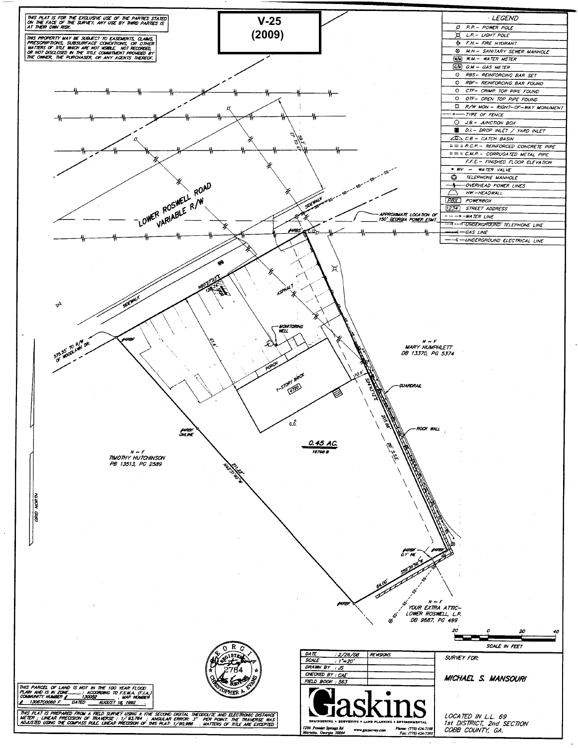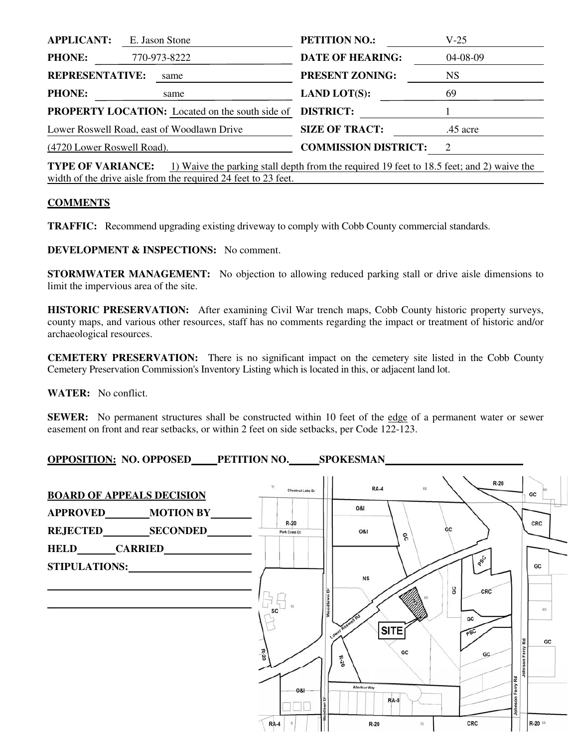| <b>APPLICANT:</b>                                      |  | E. Jason Stone | <b>PETITION NO.:</b>        | V-25      |
|--------------------------------------------------------|--|----------------|-----------------------------|-----------|
| <b>PHONE:</b>                                          |  | 770-973-8222   | <b>DATE OF HEARING:</b>     | 04-08-09  |
| <b>REPRESENTATIVE:</b>                                 |  | same           | <b>PRESENT ZONING:</b>      | <b>NS</b> |
| <b>PHONE:</b>                                          |  | same           | <b>LAND LOT(S):</b>         | 69        |
| <b>PROPERTY LOCATION:</b> Located on the south side of |  |                | <b>DISTRICT:</b>            |           |
| Lower Roswell Road, east of Woodlawn Drive             |  |                | <b>SIZE OF TRACT:</b>       | .45 acre  |
| (4720 Lower Roswell Road).                             |  |                | <b>COMMISSION DISTRICT:</b> | 2         |
|                                                        |  |                |                             |           |

**TYPE OF VARIANCE:** 1) Waive the parking stall depth from the required 19 feet to 18.5 feet; and 2) waive the width of the drive aisle from the required 24 feet to 23 feet.

## **COMMENTS**

**TRAFFIC:** Recommend upgrading existing driveway to comply with Cobb County commercial standards.

**DEVELOPMENT & INSPECTIONS:** No comment.

**STORMWATER MANAGEMENT:** No objection to allowing reduced parking stall or drive aisle dimensions to limit the impervious area of the site.

**HISTORIC PRESERVATION:** After examining Civil War trench maps, Cobb County historic property surveys, county maps, and various other resources, staff has no comments regarding the impact or treatment of historic and/or archaeological resources.

**CEMETERY PRESERVATION:** There is no significant impact on the cemetery site listed in the Cobb County Cemetery Preservation Commission's Inventory Listing which is located in this, or adjacent land lot.

**WATER:** No conflict.

**SEWER:** No permanent structures shall be constructed within 10 feet of the edge of a permanent water or sewer easement on front and rear setbacks, or within 2 feet on side setbacks, per Code 122-123.

**OPPOSITION: NO. OPPOSED PETITION NO. SPOKESMAN** 

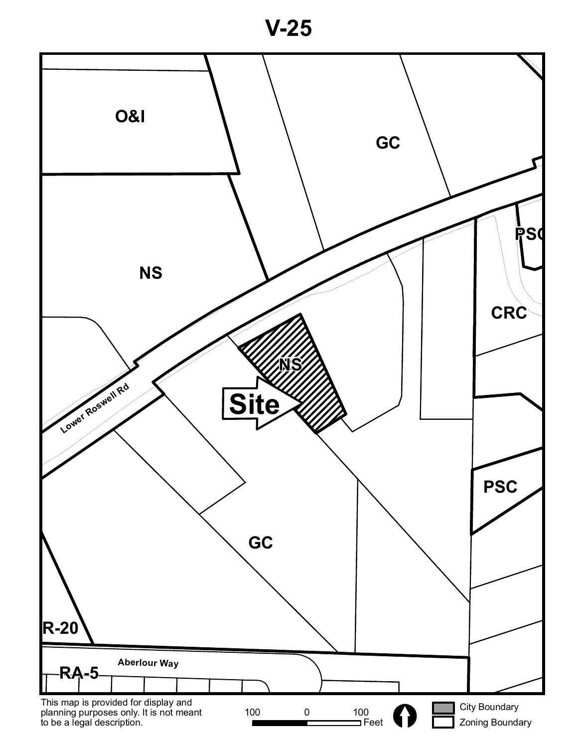**V-25**